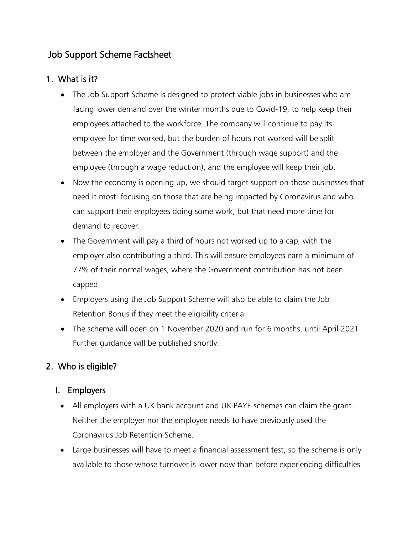# Job Support Scheme Factsheet

## 1. What is it?

- The Job Support Scheme is designed to protect viable jobs in businesses who are facing lower demand over the winter months due to Covid-19, to help keep their employees attached to the workforce. The company will continue to pay its employee for time worked, but the burden of hours not worked will be split between the employer and the Government (through wage support) and the employee (through a wage reduction), and the employee will keep their job.
- Now the economy is opening up, we should target support on those businesses that need it most: focusing on those that are being impacted by Coronavirus and who can support their employees doing some work, but that need more time for demand to recover.
- The Government will pay a third of hours not worked up to a cap, with the employer also contributing a third. This will ensure employees earn a minimum of 77% of their normal wages, where the Government contribution has not been capped.
- Employers using the Job Support Scheme will also be able to claim the Job Retention Bonus if they meet the eligibility criteria.
- The scheme will open on 1 November 2020 and run for 6 months, until April 2021. Further guidance will be published shortly.

## 2. Who is eligible?

#### I. Employers

- All employers with a UK bank account and UK PAYE schemes can claim the grant. Neither the employer nor the employee needs to have previously used the Coronavirus Job Retention Scheme.
- Large businesses will have to meet a financial assessment test, so the scheme is only available to those whose turnover is lower now than before experiencing difficulties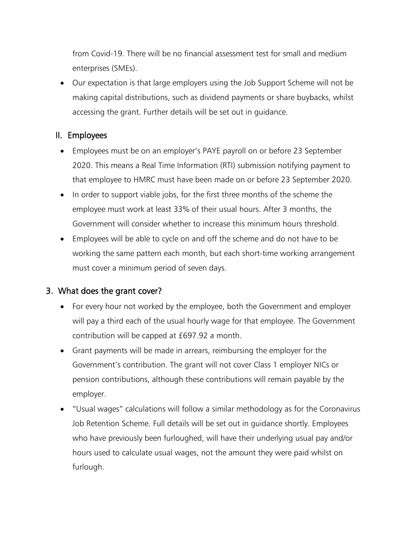from Covid-19. There will be no financial assessment test for small and medium enterprises (SMEs).

• Our expectation is that large employers using the Job Support Scheme will not be making capital distributions, such as dividend payments or share buybacks, whilst accessing the grant. Further details will be set out in guidance.

#### II. Employees

- Employees must be on an employer's PAYE payroll on or before 23 September 2020. This means a Real Time Information (RTI) submission notifying payment to that employee to HMRC must have been made on or before 23 September 2020.
- In order to support viable jobs, for the first three months of the scheme the employee must work at least 33% of their usual hours. After 3 months, the Government will consider whether to increase this minimum hours threshold.
- Employees will be able to cycle on and off the scheme and do not have to be working the same pattern each month, but each short-time working arrangement must cover a minimum period of seven days.

#### 3. What does the grant cover?

- For every hour not worked by the employee, both the Government and employer will pay a third each of the usual hourly wage for that employee. The Government contribution will be capped at £697.92 a month.
- Grant payments will be made in arrears, reimbursing the employer for the Government's contribution. The grant will not cover Class 1 employer NICs or pension contributions, although these contributions will remain payable by the employer.
- "Usual wages" calculations will follow a similar methodology as for the Coronavirus Job Retention Scheme. Full details will be set out in guidance shortly. Employees who have previously been furloughed, will have their underlying usual pay and/or hours used to calculate usual wages, not the amount they were paid whilst on furlough.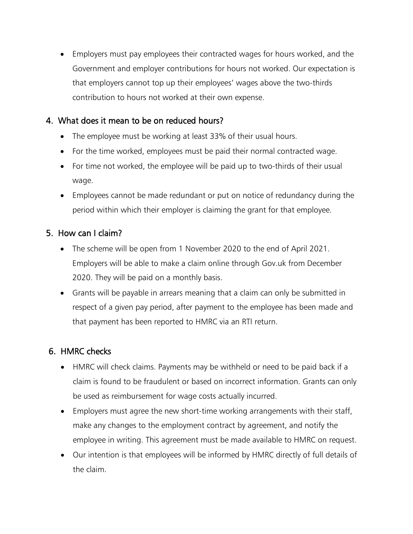• Employers must pay employees their contracted wages for hours worked, and the Government and employer contributions for hours not worked. Our expectation is that employers cannot top up their employees' wages above the two-thirds contribution to hours not worked at their own expense.

#### 4. What does it mean to be on reduced hours?

- The employee must be working at least 33% of their usual hours.
- For the time worked, employees must be paid their normal contracted wage.
- For time not worked, the employee will be paid up to two-thirds of their usual wage.
- Employees cannot be made redundant or put on notice of redundancy during the period within which their employer is claiming the grant for that employee.

## 5. How can I claim?

- The scheme will be open from 1 November 2020 to the end of April 2021. Employers will be able to make a claim online through Gov.uk from December 2020. They will be paid on a monthly basis.
- Grants will be payable in arrears meaning that a claim can only be submitted in respect of a given pay period, after payment to the employee has been made and that payment has been reported to HMRC via an RTI return.

#### 6. HMRC checks

- HMRC will check claims. Payments may be withheld or need to be paid back if a claim is found to be fraudulent or based on incorrect information. Grants can only be used as reimbursement for wage costs actually incurred.
- Employers must agree the new short-time working arrangements with their staff, make any changes to the employment contract by agreement, and notify the employee in writing. This agreement must be made available to HMRC on request.
- Our intention is that employees will be informed by HMRC directly of full details of the claim.